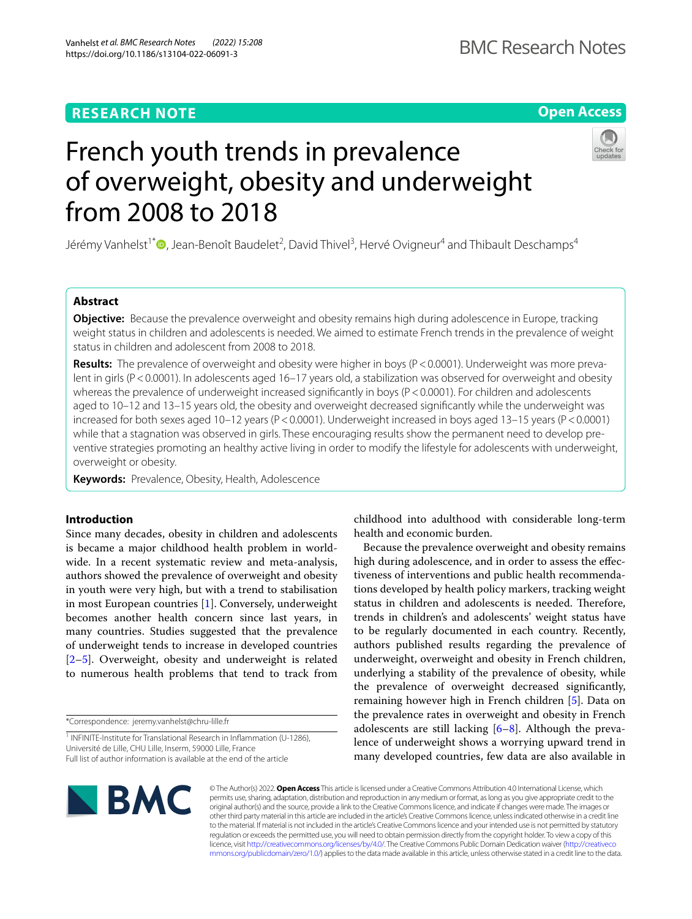## **RESEARCH NOTE**

## **Open Access**



# French youth trends in prevalence of overweight, obesity and underweight from 2008 to 2018

Jérémy Vanhelst<sup>1[\\*](http://orcid.org/0000-0002-0570-1522)</sup>®, Jean-Benoît Baudelet<sup>2</sup>, David Thivel<sup>3</sup>, Hervé Ovigneur<sup>4</sup> and Thibault Deschamps<sup>4</sup>

## **Abstract**

**Objective:** Because the prevalence overweight and obesity remains high during adolescence in Europe, tracking weight status in children and adolescents is needed. We aimed to estimate French trends in the prevalence of weight status in children and adolescent from 2008 to 2018.

**Results:** The prevalence of overweight and obesity were higher in boys (P<0.0001). Underweight was more prevalent in girls (P<0.0001). In adolescents aged 16–17 years old, a stabilization was observed for overweight and obesity whereas the prevalence of underweight increased significantly in boys (P < 0.0001). For children and adolescents aged to 10–12 and 13–15 years old, the obesity and overweight decreased signifcantly while the underweight was increased for both sexes aged 10–12 years (P<0.0001). Underweight increased in boys aged 13–15 years (P<0.0001) while that a stagnation was observed in girls. These encouraging results show the permanent need to develop preventive strategies promoting an healthy active living in order to modify the lifestyle for adolescents with underweight, overweight or obesity.

**Keywords:** Prevalence, Obesity, Health, Adolescence

## **Introduction**

Since many decades, obesity in children and adolescents is became a major childhood health problem in worldwide. In a recent systematic review and meta-analysis, authors showed the prevalence of overweight and obesity in youth were very high, but with a trend to stabilisation in most European countries [\[1](#page-7-0)]. Conversely, underweight becomes another health concern since last years, in many countries. Studies suggested that the prevalence of underweight tends to increase in developed countries [[2–](#page-7-1)[5\]](#page-8-0). Overweight, obesity and underweight is related to numerous health problems that tend to track from

\*Correspondence: jeremy.vanhelst@chru-lille.fr

childhood into adulthood with considerable long-term health and economic burden.

Because the prevalence overweight and obesity remains high during adolescence, and in order to assess the efectiveness of interventions and public health recommendations developed by health policy markers, tracking weight status in children and adolescents is needed. Therefore, trends in children's and adolescents' weight status have to be regularly documented in each country. Recently, authors published results regarding the prevalence of underweight, overweight and obesity in French children, underlying a stability of the prevalence of obesity, while the prevalence of overweight decreased signifcantly, remaining however high in French children [[5\]](#page-8-0). Data on the prevalence rates in overweight and obesity in French adolescents are still lacking  $[6-8]$  $[6-8]$ . Although the prevalence of underweight shows a worrying upward trend in many developed countries, few data are also available in



© The Author(s) 2022. **Open Access** This article is licensed under a Creative Commons Attribution 4.0 International License, which permits use, sharing, adaptation, distribution and reproduction in any medium or format, as long as you give appropriate credit to the original author(s) and the source, provide a link to the Creative Commons licence, and indicate if changes were made. The images or other third party material in this article are included in the article's Creative Commons licence, unless indicated otherwise in a credit line to the material. If material is not included in the article's Creative Commons licence and your intended use is not permitted by statutory regulation or exceeds the permitted use, you will need to obtain permission directly from the copyright holder. To view a copy of this licence, visit [http://creativecommons.org/licenses/by/4.0/.](http://creativecommons.org/licenses/by/4.0/) The Creative Commons Public Domain Dedication waiver ([http://creativeco](http://creativecommons.org/publicdomain/zero/1.0/) [mmons.org/publicdomain/zero/1.0/](http://creativecommons.org/publicdomain/zero/1.0/)) applies to the data made available in this article, unless otherwise stated in a credit line to the data.

<sup>&</sup>lt;sup>1</sup> INFINITE-Institute for Translational Research in Inflammation (U-1286), Université de Lille, CHU Lille, Inserm, 59000 Lille, France Full list of author information is available at the end of the article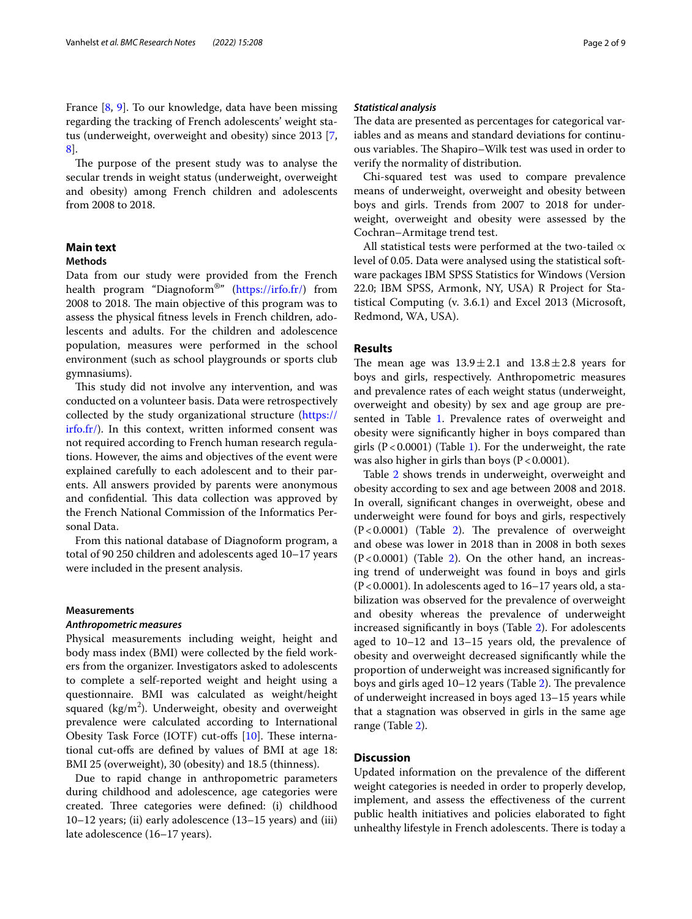France [\[8](#page-8-2), [9](#page-8-3)]. To our knowledge, data have been missing regarding the tracking of French adolescents' weight status (underweight, overweight and obesity) since 2013 [\[7](#page-8-4), [8\]](#page-8-2).

The purpose of the present study was to analyse the secular trends in weight status (underweight, overweight and obesity) among French children and adolescents from 2008 to 2018.

## **Main text**

## **Methods**

Data from our study were provided from the French health program "Diagnoform®" [\(https://irfo.fr/\)](https://irfo.fr/) from 2008 to 2018. The main objective of this program was to assess the physical ftness levels in French children, adolescents and adults. For the children and adolescence population, measures were performed in the school environment (such as school playgrounds or sports club gymnasiums).

This study did not involve any intervention, and was conducted on a volunteer basis. Data were retrospectively collected by the study organizational structure [\(https://](https://irfo.fr/) [irfo.fr/\)](https://irfo.fr/). In this context, written informed consent was not required according to French human research regulations. However, the aims and objectives of the event were explained carefully to each adolescent and to their parents. All answers provided by parents were anonymous and confidential. This data collection was approved by the French National Commission of the Informatics Personal Data.

From this national database of Diagnoform program, a total of 90 250 children and adolescents aged 10–17 years were included in the present analysis.

#### **Measurements**

#### *Anthropometric measures*

Physical measurements including weight, height and body mass index (BMI) were collected by the feld workers from the organizer. Investigators asked to adolescents to complete a self-reported weight and height using a questionnaire. BMI was calculated as weight/height squared (kg/m<sup>2</sup>). Underweight, obesity and overweight prevalence were calculated according to International Obesity Task Force (IOTF) cut-offs  $[10]$  $[10]$ . These international cut-ofs are defned by values of BMI at age 18: BMI 25 (overweight), 30 (obesity) and 18.5 (thinness).

Due to rapid change in anthropometric parameters during childhood and adolescence, age categories were created. Three categories were defined: (i) childhood 10–12 years; (ii) early adolescence (13–15 years) and (iii) late adolescence (16–17 years).

#### *Statistical analysis*

The data are presented as percentages for categorical variables and as means and standard deviations for continuous variables. The Shapiro–Wilk test was used in order to verify the normality of distribution.

Chi-squared test was used to compare prevalence means of underweight, overweight and obesity between boys and girls. Trends from 2007 to 2018 for underweight, overweight and obesity were assessed by the Cochran–Armitage trend test.

All statistical tests were performed at the two-tailed  $\alpha$ level of 0.05. Data were analysed using the statistical software packages IBM SPSS Statistics for Windows (Version 22.0; IBM SPSS, Armonk, NY, USA) R Project for Statistical Computing (v. 3.6.1) and Excel 2013 (Microsoft, Redmond, WA, USA).

#### **Results**

The mean age was  $13.9 \pm 2.1$  and  $13.8 \pm 2.8$  years for boys and girls, respectively. Anthropometric measures and prevalence rates of each weight status (underweight, overweight and obesity) by sex and age group are pre-sented in Table [1.](#page-2-0) Prevalence rates of overweight and obesity were signifcantly higher in boys compared than girls  $(P < 0.0001)$  $(P < 0.0001)$  $(P < 0.0001)$  (Table 1). For the underweight, the rate was also higher in girls than boys  $(P < 0.0001)$ .

Table [2](#page-3-0) shows trends in underweight, overweight and obesity according to sex and age between 2008 and 2018. In overall, signifcant changes in overweight, obese and underweight were found for boys and girls, respectively  $(P<0.0001)$  (Table [2\)](#page-3-0). The prevalence of overweight and obese was lower in 2018 than in 2008 in both sexes  $(P<0.0001)$  (Table [2](#page-3-0)). On the other hand, an increasing trend of underweight was found in boys and girls  $(P<0.0001)$ . In adolescents aged to 16–17 years old, a stabilization was observed for the prevalence of overweight and obesity whereas the prevalence of underweight increased signifcantly in boys (Table [2](#page-3-0)). For adolescents aged to 10–12 and 13–15 years old, the prevalence of obesity and overweight decreased signifcantly while the proportion of underweight was increased signifcantly for boys and girls aged 10-12 years (Table [2](#page-3-0)). The prevalence of underweight increased in boys aged 13–15 years while that a stagnation was observed in girls in the same age range (Table [2\)](#page-3-0).

### **Discussion**

Updated information on the prevalence of the diferent weight categories is needed in order to properly develop, implement, and assess the efectiveness of the current public health initiatives and policies elaborated to fght unhealthy lifestyle in French adolescents. There is today a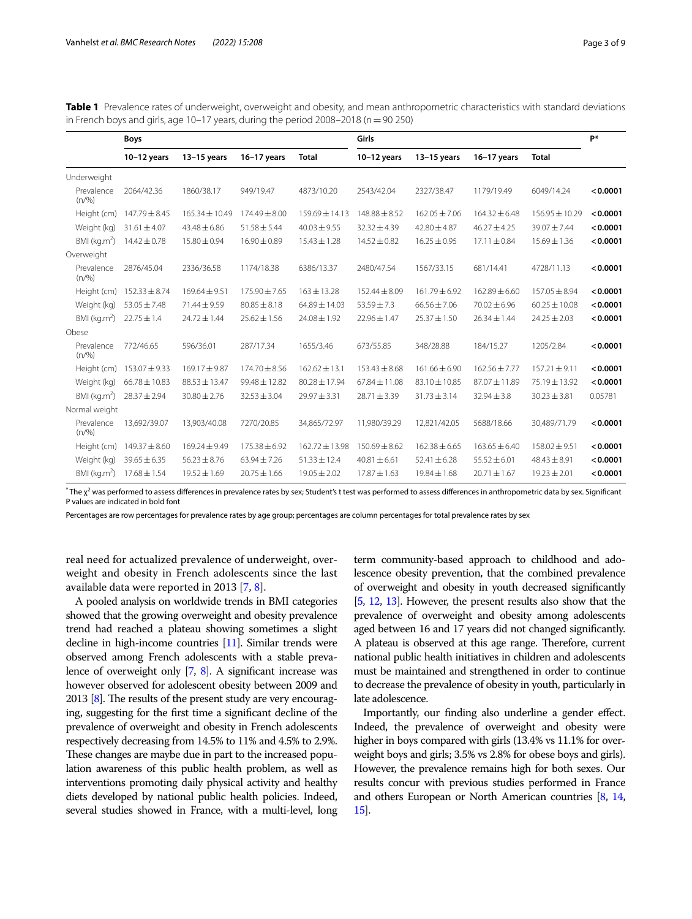<span id="page-2-0"></span>

| Table 1 Prevalence rates of underweight, overweight and obesity, and mean anthropometric characteristics with standard deviations |
|-----------------------------------------------------------------------------------------------------------------------------------|
| in French boys and girls, age 10–17 years, during the period $2008-2018$ (n = 90 250)                                             |

|                            | <b>Boys</b>       |                    |                   |                    | Girls             |                   |                   |                   | P*       |
|----------------------------|-------------------|--------------------|-------------------|--------------------|-------------------|-------------------|-------------------|-------------------|----------|
|                            | $10-12$ years     | $13-15$ years      | 16-17 years       | <b>Total</b>       | $10-12$ years     | 13-15 years       | 16-17 years       | <b>Total</b>      |          |
| Underweight                |                   |                    |                   |                    |                   |                   |                   |                   |          |
| Prevalence<br>(n/%)        | 2064/42.36        | 1860/38.17         | 949/19.47         | 4873/10.20         | 2543/42.04        | 2327/38.47        | 1179/19.49        | 6049/14.24        | < 0.0001 |
| Height (cm)                | $147.79 \pm 8.45$ | $165.34 \pm 10.49$ | $174.49 \pm 8.00$ | $159.69 \pm 14.13$ | $148.88 \pm 8.52$ | $162.05 \pm 7.06$ | $164.32 \pm 6.48$ | 156.95 ± 10.29    | < 0.0001 |
| Weight (kg)                | $31.61 \pm 4.07$  | $43.48 \pm 6.86$   | $51.58 \pm 5.44$  | $40.03 \pm 9.55$   | $32.32 \pm 4.39$  | $42.80 \pm 4.87$  | $46.27 \pm 4.25$  | $39.07 \pm 7.44$  | < 0.0001 |
| BMI ( $kg.m2$ )            | $14.42 \pm 0.78$  | $15.80 \pm 0.94$   | $16.90 \pm 0.89$  | $15.43 \pm 1.28$   | $14.52 \pm 0.82$  | $16.25 \pm 0.95$  | $17.11 \pm 0.84$  | $15.69 \pm 1.36$  | < 0.0001 |
| Overweight                 |                   |                    |                   |                    |                   |                   |                   |                   |          |
| Prevalence<br>(n/%)        | 2876/45.04        | 2336/36.58         | 1174/18.38        | 6386/13.37         | 2480/47.54        | 1567/33.15        | 681/14.41         | 4728/11.13        | < 0.0001 |
| Height (cm)                | $152.33 \pm 8.74$ | $169.64 \pm 9.51$  | 175.90 ± 7.65     | $163 \pm 13.28$    | $152.44 \pm 8.09$ | 161.79 ± 6.92     | $162.89 \pm 6.60$ | $157.05 \pm 8.94$ | < 0.0001 |
| Weight (kg)                | $53.05 \pm 7.48$  | $71.44 \pm 9.59$   | $80.85 \pm 8.18$  | $64.89 \pm 14.03$  | $53.59 \pm 7.3$   | $66.56 \pm 7.06$  | $70.02 \pm 6.96$  | $60.25 \pm 10.08$ | < 0.0001 |
| $BMI$ (kg.m <sup>2</sup> ) | $22.75 \pm 1.4$   | $24.72 \pm 1.44$   | $25.62 \pm 1.56$  | $24.08 \pm 1.92$   | $22.96 \pm 1.47$  | $25.37 \pm 1.50$  | $26.34 \pm 1.44$  | $24.25 \pm 2.03$  | < 0.0001 |
| Obese                      |                   |                    |                   |                    |                   |                   |                   |                   |          |
| Prevalence<br>(n/%)        | 772/46.65         | 596/36.01          | 287/17.34         | 1655/3.46          | 673/55.85         | 348/28.88         | 184/15.27         | 1205/2.84         | < 0.0001 |
| Height (cm)                | $153.07 \pm 9.33$ | $169.17 \pm 9.87$  | $174.70 \pm 8.56$ | $162.62 \pm 13.1$  | $153.43 \pm 8.68$ | $161.66 \pm 6.90$ | $162.56 \pm 7.77$ | $157.21 \pm 9.11$ | < 0.0001 |
| Weight (kg)                | $66.78 \pm 10.83$ | $88.53 \pm 13.47$  | 99.48 ± 12.82     | $80.28 \pm 17.94$  | $67.84 \pm 11.08$ | 83.10 ± 10.85     | 87.07 ± 11.89     | 75.19±13.92       | < 0.0001 |
| BMI ( $kg.m2$ )            | $28.37 \pm 2.94$  | $30.80 \pm 2.76$   | $32.53 \pm 3.04$  | $29.97 \pm 3.31$   | 28.71±3.39        | $31.73 \pm 3.14$  | $32.94 \pm 3.8$   | $30.23 \pm 3.81$  | 0.05781  |
| Normal weight              |                   |                    |                   |                    |                   |                   |                   |                   |          |
| Prevalence<br>(n/%)        | 13,692/39.07      | 13,903/40.08       | 7270/20.85        | 34,865/72.97       | 11,980/39.29      | 12,821/42.05      | 5688/18.66        | 30,489/71.79      | < 0.0001 |
| Height (cm)                | $149.37 \pm 8.60$ | $169.24 \pm 9.49$  | $175.38 \pm 6.92$ | $162.72 \pm 13.98$ | $150.69 \pm 8.62$ | $162.38 \pm 6.65$ | $163.65 \pm 6.40$ | 158.02 ± 9.51     | < 0.0001 |
| Weight (kg)                | $39.65 \pm 6.35$  | $56.23 \pm 8.76$   | $63.94 \pm 7.26$  | $51.33 \pm 12.4$   | $40.81 \pm 6.61$  | $52.41 \pm 6.28$  | $55.52 \pm 6.01$  | $48.43 \pm 8.91$  | < 0.0001 |
| BMI ( $kg.m2$ )            | $17.68 \pm 1.54$  | $19.52 \pm 1.69$   | $20.75 \pm 1.66$  | $19.05 \pm 2.02$   | $17.87 \pm 1.63$  | $19.84 \pm 1.68$  | $20.71 \pm 1.67$  | $19.23 \pm 2.01$  | < 0.0001 |

 $^*$  The  $\chi^2$  was performed to assess differences in prevalence rates by sex; Student's t test was performed to assess differences in anthropometric data by sex. Significant P values are indicated in bold font

Percentages are row percentages for prevalence rates by age group; percentages are column percentages for total prevalence rates by sex

real need for actualized prevalence of underweight, overweight and obesity in French adolescents since the last available data were reported in 2013 [\[7](#page-8-4), [8\]](#page-8-2).

A pooled analysis on worldwide trends in BMI categories showed that the growing overweight and obesity prevalence trend had reached a plateau showing sometimes a slight decline in high-income countries [[11\]](#page-8-6). Similar trends were observed among French adolescents with a stable prevalence of overweight only  $[7, 8]$  $[7, 8]$  $[7, 8]$  $[7, 8]$ . A significant increase was however observed for adolescent obesity between 2009 and 2013  $[8]$ . The results of the present study are very encouraging, suggesting for the frst time a signifcant decline of the prevalence of overweight and obesity in French adolescents respectively decreasing from 14.5% to 11% and 4.5% to 2.9%. These changes are maybe due in part to the increased population awareness of this public health problem, as well as interventions promoting daily physical activity and healthy diets developed by national public health policies. Indeed, several studies showed in France, with a multi-level, long

term community-based approach to childhood and adolescence obesity prevention, that the combined prevalence of overweight and obesity in youth decreased signifcantly [[5](#page-8-0), [12,](#page-8-7) [13\]](#page-8-8). However, the present results also show that the prevalence of overweight and obesity among adolescents aged between 16 and 17 years did not changed signifcantly. A plateau is observed at this age range. Therefore, current national public health initiatives in children and adolescents must be maintained and strengthened in order to continue to decrease the prevalence of obesity in youth, particularly in late adolescence.

Importantly, our fnding also underline a gender efect. Indeed, the prevalence of overweight and obesity were higher in boys compared with girls (13.4% vs 11.1% for overweight boys and girls; 3.5% vs 2.8% for obese boys and girls). However, the prevalence remains high for both sexes. Our results concur with previous studies performed in France and others European or North American countries [[8](#page-8-2), [14](#page-8-9), [15](#page-8-10)].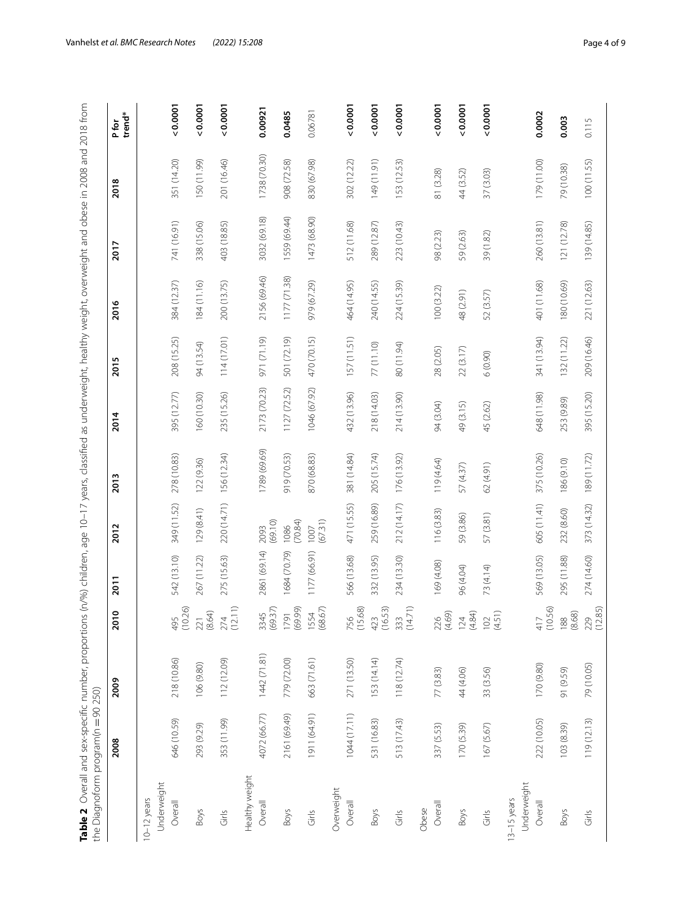<span id="page-3-0"></span>

| Table 2 Overall and sex-specific number, proportions (n/%) children, age 10-17 years, classified as underweight, healthy weight, overweight and obese in 2008 and 2018 from<br>the Diagnoform program(n = 90 250) |              |             |                      |              |                 |              |              |             |              |              |              |                |
|-------------------------------------------------------------------------------------------------------------------------------------------------------------------------------------------------------------------|--------------|-------------|----------------------|--------------|-----------------|--------------|--------------|-------------|--------------|--------------|--------------|----------------|
|                                                                                                                                                                                                                   | 2008         | 2009        | 2010                 | 2011         | 2012            | 2013         | 2014         | 2015        | 2016         | 2017         | 2018         | trend*<br>Pfor |
| $10-12$ years                                                                                                                                                                                                     |              |             |                      |              |                 |              |              |             |              |              |              |                |
| Underweight                                                                                                                                                                                                       |              |             |                      |              |                 |              |              |             |              |              |              |                |
| Overall                                                                                                                                                                                                           | 646 (10.59)  | 218 (10.86) | 495<br>(10.26)       | 542 (13.10)  | 349 (11.52)     | 278 (10.83)  | 395 (12.77)  | 208 (15.25) | 384 (12.37)  | 741 (16.91)  | 351 (14.20)  | 0.0001         |
| <b>Boys</b>                                                                                                                                                                                                       | 293 (9.29)   | 106 (9.80)  | $221$<br>(8.64)      | 267 (11.22)  | 129(8.41)       | 122 (9.36)   | 160 (10.30)  | 94 (13.54)  | 184 (11.16)  | 338 (15.06)  | 150 (11.99)  | 0.0001         |
| Girls                                                                                                                                                                                                             | 353 (11.99)  | 112 (12.09) | $274$<br>(12.11)     | 275 (15.63)  | 220 (14.71)     | 156 (12.34)  | 235 (15.26)  | 114 (17.01) | 200 (13.75)  | 403 (18.85)  | 201 (16.46)  | 0.0001         |
| Healthy weight                                                                                                                                                                                                    |              |             |                      |              |                 |              |              |             |              |              |              |                |
| Overall                                                                                                                                                                                                           | 4072 (66.77) | 1442(71.81) | 3345<br>(69.37)      | 2861 (69.14) | (69.10)<br>2093 | 1789 (69.69) | 2173 (70.23) | 971 (71.19) | 2156 (69.46) | 3032 (69.18) | 1738 (70.30) | 0.00921        |
| <b>Boys</b>                                                                                                                                                                                                       | 2161 (69.49) | 779 (72.00) | (69.99)<br>1791      | 1684 (70.79) | (70.84)<br>1086 | 919 (70.53)  | 1127 (72.52) | 501 (72.19) | 1177 (71.38) | 1559 (69.44) | 908 (72.58)  | 0.0485         |
| $\frac{S}{\text{dif}}$                                                                                                                                                                                            | 1911 (64.91) | 663 (71.61) | 1554<br>(68.67)      | 1177 (66.91) | (67.31)<br>1007 | 870 (68.83)  | 1046 (67.92) | 470 (70.15) | 979 (67.29)  | 1473 (68.90) | 830 (67.98)  | 0.06781        |
| Overweight                                                                                                                                                                                                        |              |             |                      |              |                 |              |              |             |              |              |              |                |
| Overall                                                                                                                                                                                                           | 1044 (17.11) | 271 (13.50) | 756<br>(15.68)       | 566 (13.68)  | 471 (15.55)     | 381 (14.84)  | 432 (13.96)  | 157 (11.51) | 464 (14.95)  | 512 (11.68)  | 302 (12.22)  | 0.0001         |
| <b>Boys</b>                                                                                                                                                                                                       | 531 (16.83)  | 153 (14.14) | $423$<br>(16.53)     | 332 (13.95)  | 259 (16.89)     | 205 (15.74)  | 218 (14.03)  | 77(11.10)   | 240 (14.55)  | 289 (12.87)  | 149 (11.91)  | 0.0001         |
| Girls                                                                                                                                                                                                             | 513 (17.43)  | 118 (12.74) | $333$<br>(14.71)     | 234 (13.30)  | 212 (14.17)     | 176 (13.92)  | 214 (13.90)  | 80 (11.94)  | 224 (15.39)  | 223 (10.43)  | 153 (12.53)  | 0.0001         |
| Obese                                                                                                                                                                                                             |              |             |                      |              |                 |              |              |             |              |              |              |                |
| Overall                                                                                                                                                                                                           | 337 (5.53)   | 77 (3.83)   | 226<br>(4.69)        | 169 (4.08)   | 116 (3.83)      | 119 (4.64)   | 94 (3.04)    | 28 (2.05)   | 100 (3.22)   | 98 (2.23)    | 81 (3.28)    | 0.0001         |
| Boys                                                                                                                                                                                                              | 170 (5.39)   | 44 (4.06)   | $124$<br>(4.84)      | 96 (4.04)    | 59 (3.86)       | 57 (4.37)    | 49 (3.15)    | 22 (3.17)   | 48 (2.91)    | 59 (2.63)    | 44 (3.52)    | 0.0001         |
| Girls                                                                                                                                                                                                             | 167 (5.67)   | 33 (3.56)   | $102$<br>(4.51)      | 73 (4.14)    | 57 (3.81)       | 62 (4.91)    | 45 (2.62)    | (0.90)      | 52 (3.57)    | 39 (1.82)    | 37 (3.03)    | 0.0001         |
| Underweight<br>13-15 years                                                                                                                                                                                        |              |             |                      |              |                 |              |              |             |              |              |              |                |
| Overall                                                                                                                                                                                                           | 222 (10.05)  | 170 (9.80)  | (10.56)<br>417       | 569 (13.05)  | 605 (11.41)     | 375 (10.26)  | 648 (11.98)  | 341 (13.94) | 401 (11.68)  | 260 (13.81)  | 179 (11.00)  | 0.0002         |
| Boys                                                                                                                                                                                                              | 103 (8.39)   | 91 (9.59)   | $\frac{188}{(8.68)}$ | 295 (11.88)  | 232 (8.60)      | 186 (9.10)   | 253 (9.89)   | 132 (11.22) | 180 (10.69)  | 121 (12.78)  | 79 (10.38)   | 0.003          |
| $\frac{6}{10}$                                                                                                                                                                                                    | 119(12.13)   | 79 (10.05)  | 229<br>(12.85)       | 274 (14.60)  | 373 (14.32)     | 189 (11.72)  | 395 (15.20)  | 209 (16.46) | 221 (12.63)  | 139 (14.85)  | 100(11.55)   | 0.115          |

Vanhelst *et al. BMC Research Notes (2022) 15:208* Page 4 of 9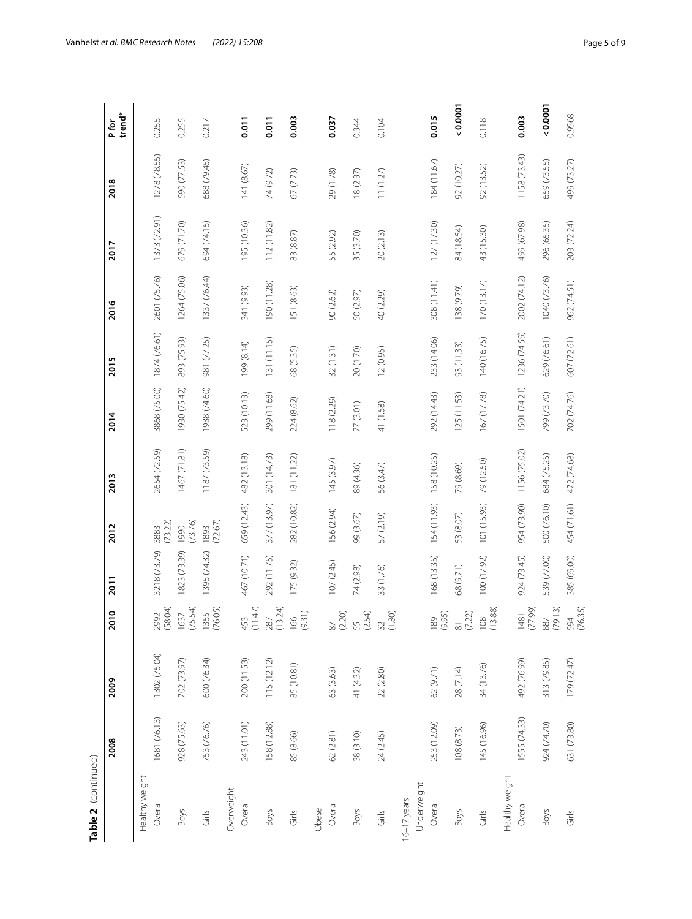| í |
|---|
|   |
|   |
|   |
|   |
|   |
| t |
|   |
|   |

| Table 2 (continued)     |              |              |                         |              |                         |              |              |              |              |              |              |                 |
|-------------------------|--------------|--------------|-------------------------|--------------|-------------------------|--------------|--------------|--------------|--------------|--------------|--------------|-----------------|
|                         | 2008         | 2009         | 010                     | 2011         | 2012                    | 2013         | 2014         | 2015         | 2016         | 2017         | 2018         | trend*<br>P for |
| Healthy weight          |              |              |                         |              |                         |              |              |              |              |              |              |                 |
| Overall                 | 1681 (76.13) | 1302 (75.04) | 58.04)<br>2992          | 3218 (73.79) | (73.22)<br>3883         | 2654 (72.59) | 3868 (75.00) | 1874 (76.61) | 2601 (75.76) | 1373 (72.91) | 1278 (78.55) | 0.255           |
| Boys                    | 928 (75.63)  | 702 (73.97)  | (75.54)<br>1637         | 1823 (73.39) | (73.76)<br>1990         | 1467(71.81)  | 1930 (75.42) | 893 (75.93)  | 1264 (75.06) | 679 (71.70)  | 590 (77.53)  | 0.255           |
| Girls                   | 753 (76.76)  | 600 (76.34)  | 76.05)<br>1355          | 395 (74.32)  | (72.67)<br>1893         | 1187 (73.59) | 1938 (74.60) | 981 (77.25)  | 1337 (76.44) | 694 (74.15)  | 688 (79.45)  | 0.217           |
| Overweight              |              |              |                         |              |                         |              |              |              |              |              |              |                 |
| Overall                 | 243 (11.01)  | 200 (11.53)  | 453<br>(11.47)          | 467 (10.71)  | 659 (12.43)             | 482 (13.18)  | 523 (10.13)  | 199 (8.14)   | 341 (9.93)   | 195 (10.36)  | 141 (8.67)   | 0.011           |
| <b>Boys</b>             | 158 (12.88)  | 115(12.12)   | (13.24)<br>287          | 292 (11.75)  | 377 (13.97)             | 301 (14.73)  | 299 (11.68)  | 131 (11.15)  | 190 (11.28)  | 112 (11.82)  | 74 (9.72)    | 0.011           |
| Girls                   | 85 (8.66)    | 85 (10.81)   | $\frac{166}{9.31}$      | 175 (9.32)   | 282 (10.82)             | 181 (11.22)  | 224 (8.62)   | 68 (5.35)    | 151 (8.63)   | 83 (8.87)    | 67 (7.73)    | 0.003           |
| Obese                   |              |              |                         |              |                         |              |              |              |              |              |              |                 |
| Overall                 | 62 (2.81)    | 63 (3.63)    | 37<br>(2.20)            | 107(2.45)    | 156 (2.94)              | 145 (3.97)   | 118 (2.29)   | 32(1.31)     | 90 (2.62)    | 55 (2.92)    | 29 (1.78)    | 0.037           |
| <b>Boys</b>             | 38 (3.10)    | 41 (4.32)    | 55<br>(2.54)            | 74 (2.98)    | 99 (3.67)               | 89 (4.36)    | 77 (3.01)    | 20 (1.70)    | 50 (2.97)    | 35 (3.70)    | 18(2.37)     | 0.344           |
| Girls                   | 24 (2.45)    | 22 (2.80)    | (1.80)<br>$\frac{2}{3}$ | 33 (1.76)    | 57 (2.19)               | 56 (3.47)    | 41 (1.58)    | 12 (0.95)    | 40 (2.29)    | 20 (2.13)    | 11(1.27)     | 0.104           |
| $16-17$ years           |              |              |                         |              |                         |              |              |              |              |              |              |                 |
| Underweight             |              |              |                         |              |                         |              |              |              |              |              |              |                 |
| Overall                 | 253 (12.09)  | 62 (9.71)    | (56.6)<br>89            | 168 (13.35)  | 154 (11.93)             | 158 (10.25)  | 292 (14.43)  | 233 (14.06)  | 308 (11.41)  | 127 (17.30)  | 184 (11.67)  | 0.015           |
| Boys                    | 108(8.73)    | 28 (7.14)    | 7.22)                   | 68 (9.71)    | 53 (8.07)               | 79 (8.69)    | 125 (11.53)  | 93 (11.33)   | 138 (9.79)   | 84 (18.54)   | 92 (10.27)   | 0.000           |
| $\frac{S}{\sin \theta}$ | 145 (16.96)  | 34 (13.76)   | $\frac{108}{13.88}$     | 100 (17.92)  | 101 (15.93)             | 79 (12.50)   | 167 (17.78)  | 140 (16.75)  | 170(13.17)   | 43 (15.30)   | 92 (13.52)   | 0.118           |
| Healthy weight          |              |              |                         |              |                         |              |              |              |              |              |              |                 |
| Overall                 | 1555 (74.33) | 492 (76.99)  | (66'4'<br>1481          | 924 (73.45)  | 954 (73.90)             | 1156 (75.02) | 1501 (74.21) | 1236 (74.59) | 2002 (74.12) | 499 (67.98)  | 1158 (73.43) | 0.003           |
| Boys                    | 924 (74.70)  | 313 (79.85)  | 79.13<br>887            | 539 (77.00)  | 500 (76.10)             | 684 (75.25)  | 799 (73.70)  | 629 (76.61)  | 1040 (73.76) | 296 (65.35)  | 659 (73.55)  | 0.000           |
| Girls                   | 631 (73.80)  | 179 (72.47)  | (76.35)<br>594          | 385 (69.00)  | 454 (71.61) 472 (74.68) |              | 702 (74.76)  | 607 (72.61)  | 962 (74.51)  | 203 (72.24)  | 499 (73.27)  | 0.9568          |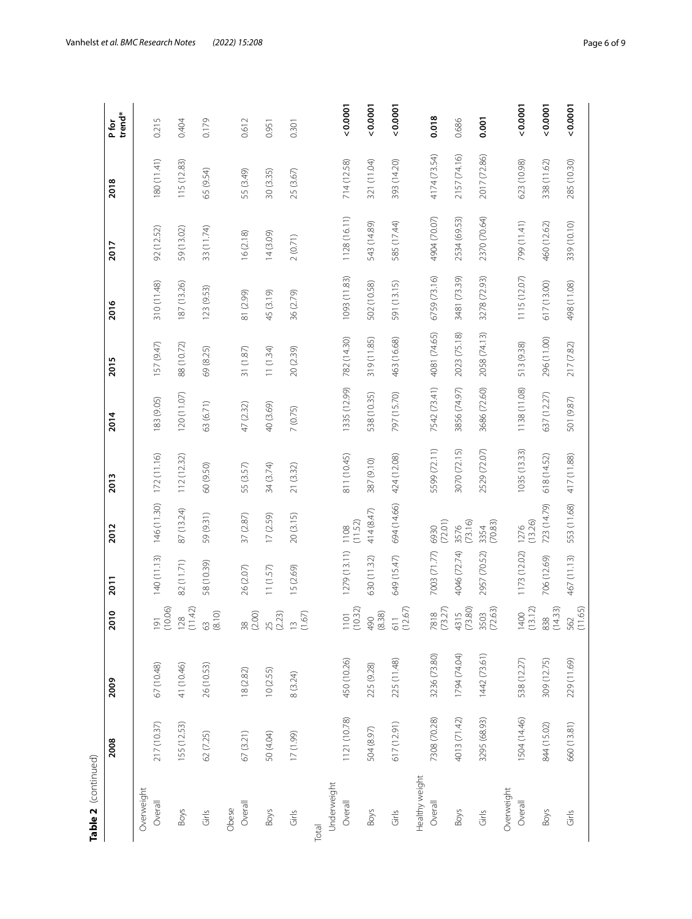| r |  |
|---|--|
|   |  |
| г |  |

| Table 2  (continued) |              |              |                               |              |                 |              |              |              |              |              |              |                 |
|----------------------|--------------|--------------|-------------------------------|--------------|-----------------|--------------|--------------|--------------|--------------|--------------|--------------|-----------------|
|                      | 2008         | 2009         | 010                           | 2011         | 2012            | 2013         | 2014         | 2015         | 2016         | 2017         | 2018         | trend*<br>P for |
| Overweight           |              |              |                               |              |                 |              |              |              |              |              |              |                 |
| Overall              | 217 (10.37)  | 67 (10.48)   | (10.06)<br>$\overline{\circ}$ | 140 (11.13)  | 146 (11.30)     | 172 (11.16)  | 183 (9.05)   | 157 (9.47)   | 310 (11.48)  | 92 (12.52)   | 180 (11.41)  | 0.215           |
| <b>Boys</b>          | 155 (12.53)  | 41 (10.46)   | (11.42)<br>$\overline{28}$    | 82 (11.71)   | 87 (13.24)      | 112(12.32)   | 120(11.07)   | 88 (10.72)   | 187 (13.26)  | 59 (13.02)   | 115 (12.83)  | 0.404           |
| Girls                | 62 (7.25)    | 26 (10.53)   | 53<br>8.10)                   | 58 (10.39)   | 59 (9.31)       | 60 (9.50)    | 63 (6.71)    | 69 (8.25)    | 123 (9.53)   | 33 (11.74)   | 65 (9.54)    | 0.179           |
| Obese                |              |              |                               |              |                 |              |              |              |              |              |              |                 |
| Overall              | 67 (3.21)    | 18 (2.82)    | (2.00)<br>$\frac{8}{20}$      | 26 (2.07)    | 37 (2.87)       | 55 (3.57)    | 47 (2.32)    | 31 (1.87)    | 81 (2.99)    | 16(2.18)     | 55 (3.49)    | 0.612           |
| Boys                 | 50 (4.04)    | 10(2.55)     | $25$<br>$(2.23)$              | 11 (1.57)    | 17(2.59)        | 34 (3.74)    | 40 (3.69)    | 11 (1.34)    | 45 (3.19)    | 14(3.09)     | 30 (3.35)    | 0.951           |
| Girls                | 17 (1.99)    | 8 (3.24)     | (1.67)<br>$\overline{C}$      | 15 (2.69)    | 20 (3.15)       | 21 (3.32)    | 7(0.75)      | 20 (2.39)    | 36 (2.79)    | 2(0.71)      | 25 (3.67)    | 0.301           |
| Total                |              |              |                               |              |                 |              |              |              |              |              |              |                 |
| Underweight          |              |              |                               |              |                 |              |              |              |              |              |              |                 |
| Overall              | 1121 (10.78) | 450 (10.26)  | (10.32)<br>$\overline{101}$   | 1279 (13.11) | (11.52)<br>1108 | 811 (10.45)  | 1335 (12.99) | 782 (14.30)  | 1093 (11.83) | 1128 (16.11) | 714 (12.58)  | $0.000 - 0.00$  |
| Boys                 | 504 (8.97)   | 225 (9.28)   | (8.38)<br>06t                 | 630 (11.32)  | 414 (8.47)      | 387 (9.10)   | 538 (10.35)  | 319 (11.85)  | 502 (10.58)  | 543 (14.89)  | 321 (11.04)  | $0.000 - 7.000$ |
| Girls                | 617 (12.91)  | 225 (11.48)  | (12.67)<br>$\overline{11}$    | 649 (15.47)  | 694 (14.66)     | 424 (12.08)  | 797 (15.70)  | 463 (16.68)  | 591 (13.15)  | 585 (17.44)  | 393 (14.20)  | $0.000 - 0.00$  |
| Healthy weight       |              |              |                               |              |                 |              |              |              |              |              |              |                 |
| Overall              | 7308 (70.28) | 3236 (73.80) | (73.27)<br>7818               | 7003 (71.77) | (72.01)<br>6930 | 5599 (72.11) | 7542 (73.41) | 4081 (74.65) | 6759 (73.16) | 4904 (70.07) | 4174 (73.54) | 0.018           |
| Boys                 | 4013 (71.42) | 1794 (74.04) | 4315<br>(73.80)               | 4046 (72.74) | (73.16)<br>3576 | 3070 (72.15) | 3856 (74.97) | 2023 (75.18) | 3481 (73.39) | 2534 (69.53) | 2157 (74.16) | 0.686           |
| Girls                | 3295 (68.93) | 1442 (73.61) | 72.63)<br>3503                | 2957 (70.52) | (70.83)<br>3354 | 2529 (72.07) | 3686 (72.60) | 2058 (74.13) | 3278 (72.93) | 2370 (70.64) | 2017 (72.86) | 0.001           |
| Overweight           |              |              |                               |              |                 |              |              |              |              |              |              |                 |
| Overall              | 1504 (14.46) | 538 (12.27)  | (13.12)<br>1400               | 1173 (12.02) | (13.26)<br>1276 | 1035 (13.33) | 1138 (11.08) | 513 (9.38)   | 1115 (12.07) | 799 (11.41)  | 623 (10.98)  | $0.000 - 7.000$ |
| Boys                 | 844 (15.02)  | 309 (12.75)  | (14.33)<br>338                | 706 (12.69)  | 723 (14.79)     | 618 (1452)   | 637 (12.27)  | 296 (11.00)  | 617 (13.00)  | 460 (12.62)  | 338 (11.62)  | 0.0007          |
| Girls                | 660 (13.81)  | 229 (11.69)  | (11.65)<br>562                | 467 (11.13)  | 553 (11.68)     | 417 (11.88)  | 501 (9.87)   | 217 (7.82)   | 498 (11.08)  | 339 (10.10)  | 285 (10.30)  | 0.0001          |
|                      |              |              |                               |              |                 |              |              |              |              |              |              |                 |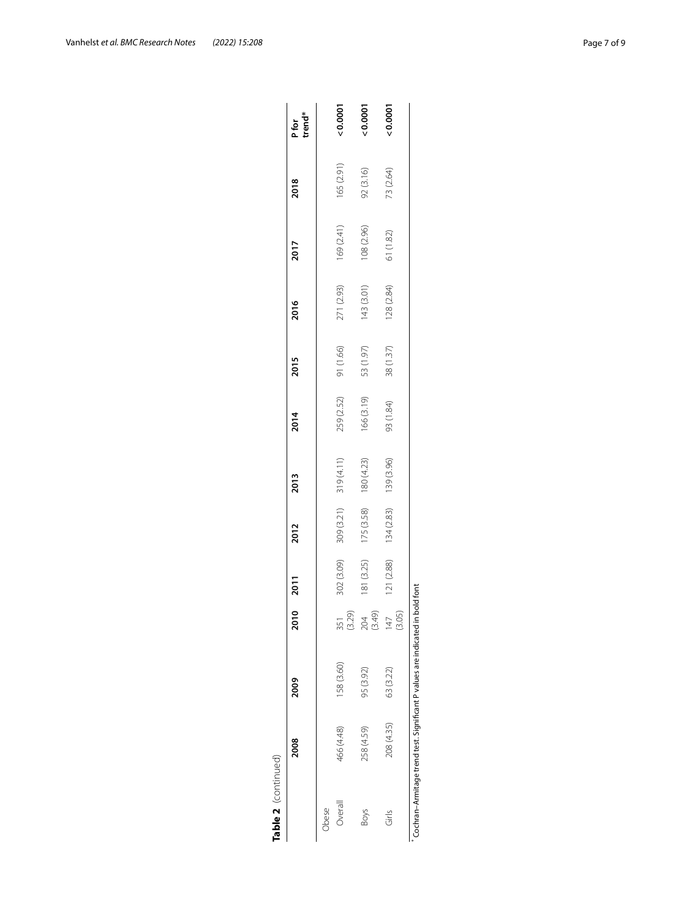| Table 2 (continued) |                                                                    |            |                          |            |            |                        |            |           |            |            |            |                 |
|---------------------|--------------------------------------------------------------------|------------|--------------------------|------------|------------|------------------------|------------|-----------|------------|------------|------------|-----------------|
|                     | 2008                                                               | 2009       | 2010                     | 2011       | 2012       | 2013                   | 2014       | 2015      | 2016       | 2017       | 2018       | P for<br>trend* |
| Obese               |                                                                    |            |                          |            |            |                        |            |           |            |            |            |                 |
| Overall             | 466 (4.48)                                                         | 158 (3.60) | (3.29)<br>351            | 302 (3.09) | 309 (3.21) | 319 (4.11)             | 259 (2.52) | 91 (1.66) | 271 (2.93) | 169 (2.41) | 165 (2.91) | 0.0001          |
| <b>Boys</b>         | 258 (4.59)                                                         | 95 (3.92)  | (3.49)<br>204            | 181 (3.25) |            | $175(3.58)$ 180 (4.23) | 166 (3.19) | 53 (1.97) | 143 (3.01) | 108 (2.96) | 92 (3.16)  | 0.0001          |
| Girls               | 208 (4.35)                                                         | 63 (3.22)  | (3.05)<br>$\overline{4}$ | 121 (2.88) |            | 134 (2.83) 139 (3.96)  | 93 (1.84)  | 38(1.37)  | 128 (2.84) | 61 (1.82)  | 73 (2.64)  | 20.0001         |
|                     | Cochran-Armitage trend test. Significant P values are indicated in |            |                          | bold font  |            |                        |            |           |            |            |            |                 |

| ı             |
|---------------|
|               |
|               |
| ֠             |
| ī<br>l<br>֚֕֕ |
| I             |
| ۱             |
| ١<br>l        |
| ı<br>l        |
|               |
| ֠<br>١        |
|               |
| ֠             |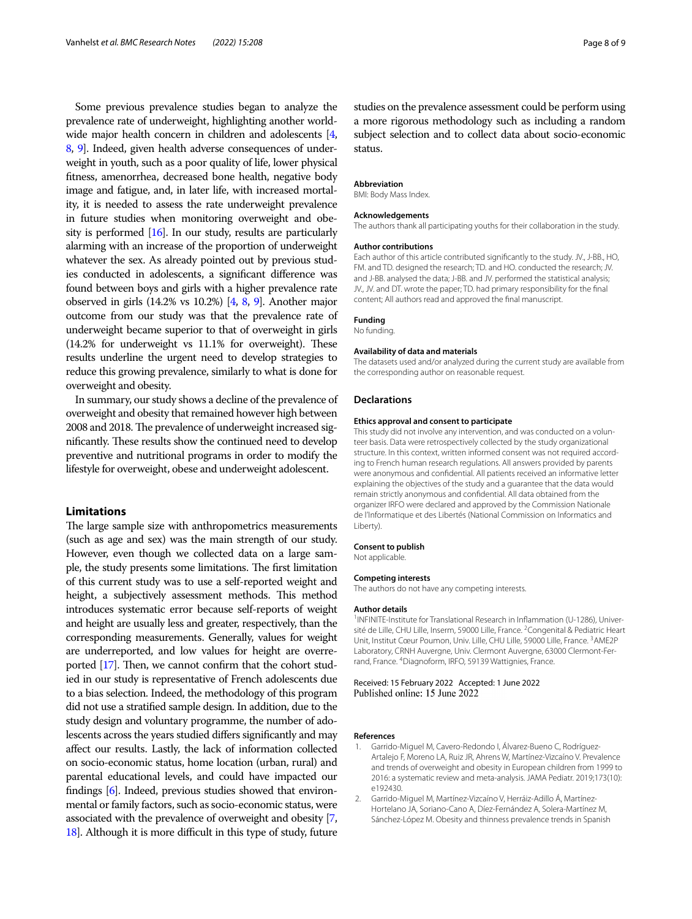Some previous prevalence studies began to analyze the prevalence rate of underweight, highlighting another worldwide major health concern in children and adolescents [[4](#page-8-11), [8](#page-8-2), [9](#page-8-3)]. Indeed, given health adverse consequences of underweight in youth, such as a poor quality of life, lower physical ftness, amenorrhea, decreased bone health, negative body image and fatigue, and, in later life, with increased mortality, it is needed to assess the rate underweight prevalence in future studies when monitoring overweight and obesity is performed [\[16\]](#page-8-12). In our study, results are particularly alarming with an increase of the proportion of underweight whatever the sex. As already pointed out by previous studies conducted in adolescents, a signifcant diference was found between boys and girls with a higher prevalence rate observed in girls (14.2% vs 10.2%) [\[4,](#page-8-11) [8](#page-8-2), [9](#page-8-3)]. Another major outcome from our study was that the prevalence rate of underweight became superior to that of overweight in girls  $(14.2\%$  for underweight vs  $11.1\%$  for overweight). These results underline the urgent need to develop strategies to reduce this growing prevalence, similarly to what is done for overweight and obesity.

In summary, our study shows a decline of the prevalence of overweight and obesity that remained however high between 2008 and 2018. The prevalence of underweight increased significantly. These results show the continued need to develop preventive and nutritional programs in order to modify the lifestyle for overweight, obese and underweight adolescent.

#### **Limitations**

The large sample size with anthropometrics measurements (such as age and sex) was the main strength of our study. However, even though we collected data on a large sample, the study presents some limitations. The first limitation of this current study was to use a self-reported weight and height, a subjectively assessment methods. This method introduces systematic error because self-reports of weight and height are usually less and greater, respectively, than the corresponding measurements. Generally, values for weight are underreported, and low values for height are overreported  $[17]$  $[17]$ . Then, we cannot confirm that the cohort studied in our study is representative of French adolescents due to a bias selection. Indeed, the methodology of this program did not use a stratifed sample design. In addition, due to the study design and voluntary programme, the number of adolescents across the years studied difers signifcantly and may afect our results. Lastly, the lack of information collected on socio-economic status, home location (urban, rural) and parental educational levels, and could have impacted our fndings [\[6\]](#page-8-1). Indeed, previous studies showed that environmental or family factors, such as socio-economic status, were associated with the prevalence of overweight and obesity [[7](#page-8-4), [18](#page-8-14)]. Although it is more difficult in this type of study, future

studies on the prevalence assessment could be perform using a more rigorous methodology such as including a random subject selection and to collect data about socio-economic status.

#### **Abbreviation**

BMI: Body Mass Index.

#### **Acknowledgements**

The authors thank all participating youths for their collaboration in the study.

#### **Author contributions**

Each author of this article contributed signifcantly to the study. JV., J-BB., HO, FM. and TD. designed the research; TD. and HO. conducted the research; JV. and J-BB. analysed the data; J-BB. and JV. performed the statistical analysis; JV., JV. and DT. wrote the paper; TD. had primary responsibility for the fnal content; All authors read and approved the fnal manuscript.

#### **Funding**

No funding.

#### **Availability of data and materials**

The datasets used and/or analyzed during the current study are available from the corresponding author on reasonable request.

#### **Declarations**

#### **Ethics approval and consent to participate**

This study did not involve any intervention, and was conducted on a volunteer basis. Data were retrospectively collected by the study organizational structure. In this context, written informed consent was not required according to French human research regulations. All answers provided by parents were anonymous and confdential. All patients received an informative letter explaining the objectives of the study and a guarantee that the data would remain strictly anonymous and confdential. All data obtained from the organizer IRFO were declared and approved by the Commission Nationale de l'Informatique et des Libertés (National Commission on Informatics and Liberty).

#### **Consent to publish**

Not applicable.

#### **Competing interests**

The authors do not have any competing interests.

#### **Author details**

<sup>1</sup> INFINITE-Institute for Translational Research in Inflammation (U-1286), Université de Lille, CHU Lille, Inserm, 59000 Lille, France. <sup>2</sup> Congenital & Pediatric Heart Unit, Institut Cœur Poumon, Univ. Lille, CHU Lille, 59000 Lille, France. <sup>3</sup>AME2P Laboratory, CRNH Auvergne, Univ. Clermont Auvergne, 63000 Clermont-Ferrand, France. 4 Diagnoform, IRFO, 59139 Wattignies, France.

## Received: 15 February 2022 Accepted: 1 June 2022

#### **References**

- <span id="page-7-0"></span>1. Garrido-Miguel M, Cavero-Redondo I, Álvarez-Bueno C, Rodríguez-Artalejo F, Moreno LA, Ruiz JR, Ahrens W, Martínez-Vizcaíno V. Prevalence and trends of overweight and obesity in European children from 1999 to 2016: a systematic review and meta-analysis. JAMA Pediatr. 2019;173(10): e192430.
- <span id="page-7-1"></span>2. Garrido-Miguel M, Martínez-Vizcaíno V, Herráiz-Adillo Á, Martínez-Hortelano JA, Soriano-Cano A, Díez-Fernández A, Solera-Martínez M, Sánchez-López M. Obesity and thinness prevalence trends in Spanish